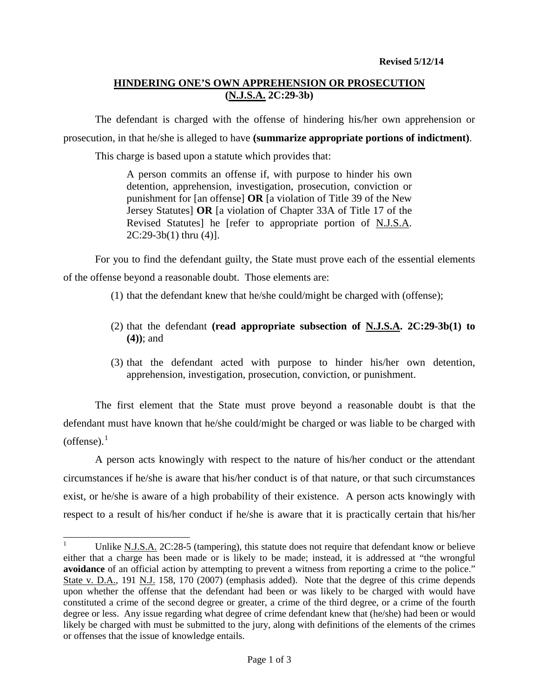# **HINDERING ONE'S OWN APPREHENSION OR PROSECUTION (N.J.S.A. 2C:29-3b)**

The defendant is charged with the offense of hindering his/her own apprehension or prosecution, in that he/she is alleged to have **(summarize appropriate portions of indictment)**.

This charge is based upon a statute which provides that:

A person commits an offense if, with purpose to hinder his own detention, apprehension, investigation, prosecution, conviction or punishment for [an offense] **OR** [a violation of Title 39 of the New Jersey Statutes] **OR** [a violation of Chapter 33A of Title 17 of the Revised Statutes] he [refer to appropriate portion of N.J.S.A. 2C:29-3b(1) thru (4)].

For you to find the defendant guilty, the State must prove each of the essential elements of the offense beyond a reasonable doubt. Those elements are:

- (1) that the defendant knew that he/she could/might be charged with (offense);
- (2) that the defendant **(read appropriate subsection of N.J.S.A. 2C:29-3b(1) to (4))**; and
- (3) that the defendant acted with purpose to hinder his/her own detention, apprehension, investigation, prosecution, conviction, or punishment.

The first element that the State must prove beyond a reasonable doubt is that the defendant must have known that he/she could/might be charged or was liable to be charged with (offense). $<sup>1</sup>$  $<sup>1</sup>$  $<sup>1</sup>$ </sup>

A person acts knowingly with respect to the nature of his/her conduct or the attendant circumstances if he/she is aware that his/her conduct is of that nature, or that such circumstances exist, or he/she is aware of a high probability of their existence. A person acts knowingly with respect to a result of his/her conduct if he/she is aware that it is practically certain that his/her

<span id="page-0-1"></span><span id="page-0-0"></span>Unlike N.J.S.A. 2C:28-5 (tampering), this statute does not require that defendant know or believe either that a charge has been made or is likely to be made; instead, it is addressed at "the wrongful **avoidance** of an official action by attempting to prevent a witness from reporting a crime to the police." State v. D.A., 191 N.J. 158, 170 (2007) (emphasis added). Note that the degree of this crime depends upon whether the offense that the defendant had been or was likely to be charged with would have constituted a crime of the second degree or greater, a crime of the third degree, or a crime of the fourth degree or less. Any issue regarding what degree of crime defendant knew that (he/she) had been or would likely be charged with must be submitted to the jury, along with definitions of the elements of the crimes or offenses that the issue of knowledge entails.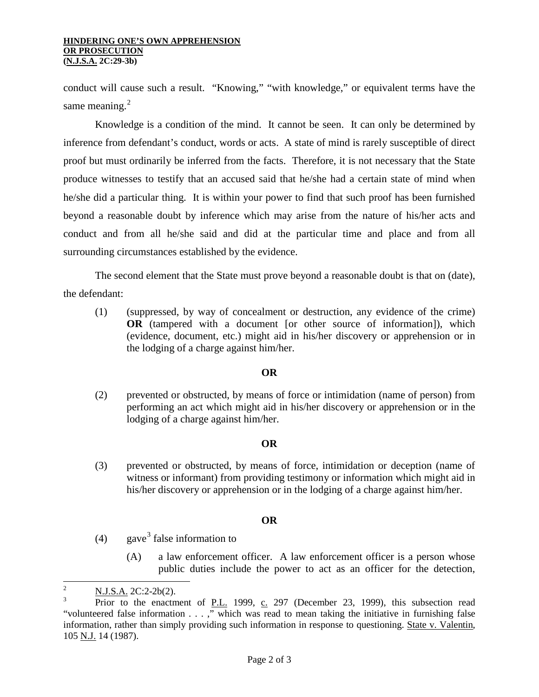#### **HINDERING ONE'S OWN APPREHENSION OR PROSECUTION (N.J.S.A. 2C:29-3b)**

conduct will cause such a result. "Knowing," "with knowledge," or equivalent terms have the same meaning. $2$ 

Knowledge is a condition of the mind. It cannot be seen. It can only be determined by inference from defendant's conduct, words or acts. A state of mind is rarely susceptible of direct proof but must ordinarily be inferred from the facts. Therefore, it is not necessary that the State produce witnesses to testify that an accused said that he/she had a certain state of mind when he/she did a particular thing. It is within your power to find that such proof has been furnished beyond a reasonable doubt by inference which may arise from the nature of his/her acts and conduct and from all he/she said and did at the particular time and place and from all surrounding circumstances established by the evidence.

The second element that the State must prove beyond a reasonable doubt is that on (date), the defendant:

(1) (suppressed, by way of concealment or destruction, any evidence of the crime) **OR** (tampered with a document [or other source of information]), which (evidence, document, etc.) might aid in his/her discovery or apprehension or in the lodging of a charge against him/her.

## **OR**

(2) prevented or obstructed, by means of force or intimidation (name of person) from performing an act which might aid in his/her discovery or apprehension or in the lodging of a charge against him/her.

## **OR**

(3) prevented or obstructed, by means of force, intimidation or deception (name of witness or informant) from providing testimony or information which might aid in his/her discovery or apprehension or in the lodging of a charge against him/her.

## **OR**

- (4) gave<sup>[3](#page-1-0)</sup> false information to
	- (A) a law enforcement officer. A law enforcement officer is a person whose public duties include the power to act as an officer for the detection,

<sup>&</sup>lt;sup>2</sup> N.J.S.A. 2C:2-2b(2).

<span id="page-1-1"></span><span id="page-1-0"></span>Prior to the enactment of P.L. 1999, c. 297 (December 23, 1999), this subsection read "volunteered false information . . . ," which was read to mean taking the initiative in furnishing false information, rather than simply providing such information in response to questioning. State v. Valentin, 105 N.J. 14 (1987).